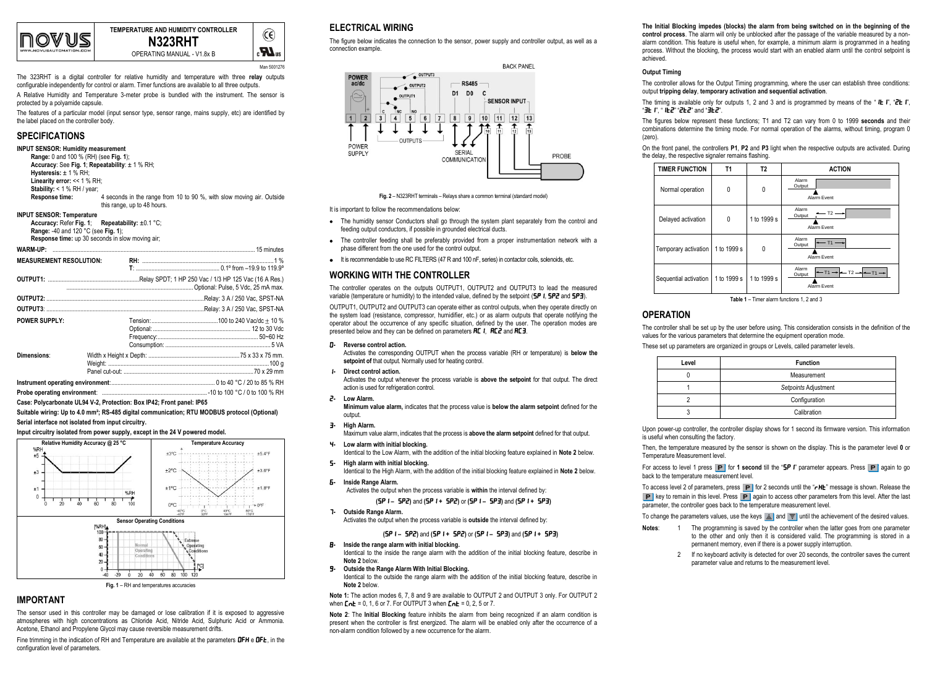

**TEMPERATURE AND HUMIDITY CONTROLLER N323RHT**

OPERATING MANUAL - V1.8x B

 $\epsilon$ **N**<sub>3</sub> Man 5001276

 $\widehat{c}$ 

The 323RHT is a digital controller for relative humidity and temperature with three **relay** outputs configurable independently for control or alarm. Timer functions are available to all three outputs.

A Relative Humidity and Temperature 3-meter probe is bundled with the instrument. The sensor is protected by a polyamide capsule.

The features of a particular model (input sensor type, sensor range, mains supply, etc) are identified by the label placed on the controller body.

## **SPECIFICATIONS**

```
INPUT SENSOR: Humidity measurement
```

```
Range: 0 and 100 % (RH) (see Fig. 1);
Accuracy: See Fig. 1; Repeatability: ± 1 % RH;
Hysteresis: ± 1 % RH;
Linearity error: << 1 % RH:
Stability: < 1 % RH / year;<br>Response time:
                            4 seconds in the range from 10 to 90 %, with slow moving air. Outside
                            this range, up to 48 hours.
```
### **INPUT SENSOR: Temperature**

**Accuracy:** Refer **Fig. 1**; **Repeatability:** ±0.1 °C; **Range:** -40 and 120 °C (see **Fig. 1**);

**Response time:** up 30 seconds in slow moving air;

| <b>MEASUREMENT RESOLUTION:</b> |  |  |
|--------------------------------|--|--|
|                                |  |  |
|                                |  |  |
|                                |  |  |
|                                |  |  |
| <b>POWER SUPPLY:</b>           |  |  |
|                                |  |  |
|                                |  |  |
|                                |  |  |
| Dimensions:                    |  |  |
|                                |  |  |
|                                |  |  |
|                                |  |  |

**Probe operating environment**: ....................................................................-10 to 100 °C / 0 to 100 % RH

**Case: Polycarbonate UL94 V-2, Protection: Box IP42; Front panel: IP65**

**Suitable wiring: Up to 4.0 mm²; RS-485 digital communication; RTU MODBUS protocol (Optional) Serial interface not isolated from input circuitry.**

**Input circuitry isolated from power supply, except in the 24 V powered model.**



## **IMPORTANT**

The sensor used in this controller may be damaged or lose calibration if it is exposed to aggressive atmospheres with high concentrations as Chloride Acid, Nitride Acid, Sulphuric Acid or Ammonia. Acetone, Ethanol and Propylene Glycol may cause reversible measurement drifts.

Fine trimming in the indication of RH and Temperature are available at the parameters  $DFH \text{ e } DFE$ , in the configuration level of parameters.

# **ELECTRICAL WIRING**

The figure below indicates the connection to the sensor, power supply and controller output, as well as a connection example.



**Fig. 2** – N323RHT terminals – Relays share a common terminal (standard model)

#### It is important to follow the recommendations below:

- The humidity sensor Conductors shall go through the system plant separately from the control and feeding output conductors, if possible in grounded electrical ducts.
- The controller feeding shall be preferably provided from a proper instrumentation network with a phase different from the one used for the control output.
- It is recommendable to use RC FILTERS (47 R and 100 nF, series) in contactor coils, solenoids, etc.

## **WORKING WITH THE CONTROLLER**

The controller operates on the outputs OUTPUT1, OUTPUT2 and OUTPUT3 to lead the measured variable (temperature or humidity) to the intended value, defined by the setpoint ( $5P1$ ,  $5P2$  and  $5P3$ ).

OUTPUT1, OUTPUT2 and OUTPUT3 can operate either as control outputs, when they operate directly on the system load (resistance, compressor, humidifier, etc.) or as alarm outputs that operate notifying the operator about the occurrence of any specific situation, defined by the user. The operation modes are presented below and they can be defined on parameters  $\overline{HL}$  1,  $\overline{H}\overline{L}\overline{Z}$  and  $\overline{H}\overline{L}\overline{3}$ .

0**- Reverse control action.**

Activates the corresponding OUTPUT when the process variable (RH or temperature) is **below the**  setpoint of that output. Normally used for heating control.

1**- Direct control action.**

Activates the output whenever the process variable is **above the setpoint** for that output. The direct action is used for refrigeration control.

2**- Low Alarm.**

**Minimum value alarm,** indicates that the process value is **below the alarm setpoint** defined for the output.

3**- High Alarm.** Maximum value alarm, indicates that the process is **above the alarm setpoint** defined for that output.

4**- Low alarm with initial blocking.** Identical to the Low Alarm, with the addition of the initial blocking feature explained in **Note 2** below.

- 5**- High alarm with initial blocking.** Identical to the High Alarm, with the addition of the initial blocking feature explained in **Note 2** below.
- 6**- Inside Range Alarm.** Activates the output when the process variable is **within** the interval defined by:

**(**SP1 **–** SP2**)** and **(**SP1 **+** SP2**)** or **(**SP1 **–** SP3**)** and **(**SP1 **+** SP3**)**

7**- Outside Range Alarm.**

Activates the output when the process variable is **outside** the interval defined by:

#### **(**SP1 **–** SP2**)** and **(**SP1 **+** SP2**)** or **(**SP1 **–** SP3**)** and **(**SP1 **+** SP3**)**

- 8**- Inside the range alarm with initial blocking.** Identical to the inside the range alarm with the addition of the initial blocking feature, describe in **Note 2** below.
- 9**- Outside the Range Alarm With Initial Blocking.**

Identical to the outside the range alarm with the addition of the initial blocking feature, describe in **Note 2** below.

**Note 1:** The action modes 6, 7, 8 and 9 are available to OUTPUT 2 and OUTPUT 3 only. For OUTPUT 2 when  $\mathbf{L} \cdot \mathbf{L} = 0$ , 1, 6 or 7. For OUTPUT 3 when  $\mathbf{L} \cdot \mathbf{L} = 0$ , 2, 5 or 7.

**Note 2**: The **Initial Blocking** feature inhibits the alarm from being recognized if an alarm condition is present when the controller is first energized. The alarm will be enabled only after the occurrence of a non-alarm condition followed by a new occurrence for the alarm.

### **The Initial Blocking impedes (blocks) the alarm from being switched on in the beginning of the**

**control process**. The alarm will only be unblocked after the passage of the variable measured by a nonalarm condition. This feature is useful when, for example, a minimum alarm is programmed in a heating process. Without the blocking, the process would start with an enabled alarm until the control setpoint is achieved.

#### **Output Timing**

The controller allows for the Output Timing programming, where the user can establish three conditions: output **tripping delay**, **temporary activation and sequential activation**.

The timing is available only for outputs 1, 2 and 3 and is programmed by means of the "IE I", "2E I", "3t  $r$ , " $i$ t $i$ 2" "2t2" and "3t2".

The figures below represent these functions; T1 and T2 can vary from 0 to 1999 **seconds** and their combinations determine the timing mode. For normal operation of the alarms, without timing, program 0 (zero).

On the front panel, the controllers **P1**, **P2** and **P3** light when the respective outputs are activated. During the delay, the respective signaler remains flashing.



**Table 1** – Timer alarm functions 1, 2 and 3

## **OPERATION**

The controller shall be set up by the user before using. This consideration consists in the definition of the values for the various parameters that determine the equipment operation mode.

These set up parameters are organized in groups or Levels, called parameter levels.

| Level | <b>Function</b>      |
|-------|----------------------|
|       | Measurement          |
|       | Setpoints Adjustment |
|       | Configuration        |
|       | Calibration          |

Upon power-up controller, the controller display shows for 1 second its firmware version. This information is useful when consulting the factory.

Then, the temperature measured by the sensor is shown on the display. This is the parameter level **0** or Temperature Measurement level.

For access to level 1 press **P** or 1 second till the "**SPI**" parameter appears. Press **P** again to go back to the temperature measurement level.

To access level 2 of parameters, press  $\boxed{\text{P}}$  for 2 seconds until the " $r$ H $\text{H}$ " message is shown. Release the  $\boxed{\text{P}}$  key to remain in this level. Press  $\boxed{\text{P}}$  again to access other parameters from this level. After the last parameter, the controller goes back to the temperature measurement level.

To change the parameters values, use the keys  $\triangleq$  and  $\overline{F}$  until the achievement of the desired values.

- **Notes**: 1 The programming is saved by the controller when the latter goes from one parameter to the other and only then it is considered valid. The programming is stored in a permanent memory, even if there is a power supply interruption.
	- 2 If no keyboard activity is detected for over 20 seconds, the controller saves the current parameter value and returns to the measurement level.